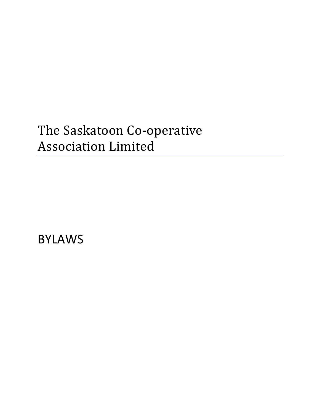# The Saskatoon Co-operative Association Limited

BYLAWS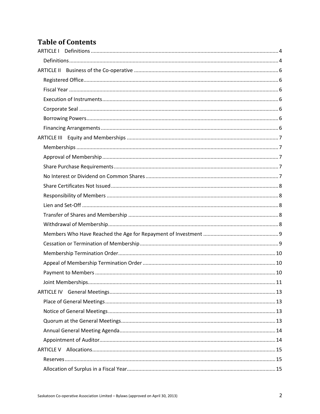## **Table of Contents**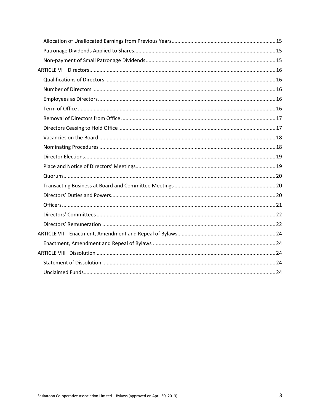<span id="page-2-0"></span>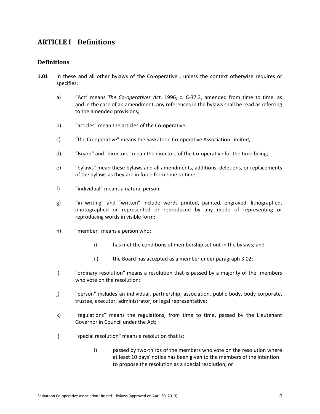### **ARTICLE I Definitions**

### <span id="page-3-0"></span>**Definitions**

- **1.01** In these and all other bylaws of the Co-operative , unless the context otherwise requires or specifies:
	- a) "Act" means *The Co-operatives Act*, 1996, c. C-37.3, amended from time to time, as and in the case of an amendment, any references in the bylaws shall be read as referring to the amended provisions;
	- b) "articles" mean the articles of the Co-operative;
	- c) "the Co-operative" means the Saskatoon Co-operative Association Limited;
	- d) "Board" and "directors" mean the directors of the Co-operative for the time being;
	- e) "bylaws" mean these bylaws and all amendments, additions, deletions, or replacements of the bylaws as they are in force from time to time;
	- f) "individual" means a natural person;
	- g) "in writing" and "written" include words printed, painted, engraved, lithographed, photographed or represented or reproduced by any mode of representing or reproducing words in visible form;
	- h) "member" means a person who:
		- i) has met the conditions of membership set out in the bylaws; and
		- ii) the Board has accepted as a member under paragraph 3.02;
	- i) "ordinary resolution" means a resolution that is passed by a majority of the members who vote on the resolution;
	- j) "person" includes an individual, partnership, association, public body, body corporate, trustee, executor, administrator, or legal representative;
	- k) "regulations" means the regulations, from time to time, passed by the Lieutenant Governor in Council under the Act;
	- l) "special resolution" means a resolution that is:
		- i) passed by two-thirds of the members who vote on the resolution where at least 10 days' notice has been given to the members of the intention to propose the resolution as a special resolution; or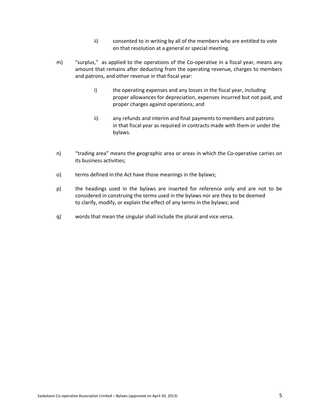- ii) consented to in writing by all of the members who are entitled to vote on that resolution at a general or special meeting.
- m) "surplus," as applied to the operations of the Co-operative in a fiscal year, means any amount that remains after deducting from the operating revenue, charges to members and patrons, and other revenue in that fiscal year:
	- i) the operating expenses and any losses in the fiscal year, including proper allowances for depreciation, expenses incurred but not paid, and proper charges against operations; and
	- ii) any refunds and interim and final payments to members and patrons in that fiscal year as required in contracts made with them or under the bylaws.
- n) "trading area" means the geographic area or areas in which the Co-operative carries on its business activities;
- o) terms defined in the Act have those meanings in the bylaws;
- p) the headings used in the bylaws are inserted for reference only and are not to be considered in construing the terms used in the bylaws nor are they to be deemed to clarify, modify, or explain the effect of any terms in the bylaws; and
- q) words that mean the singular shall include the plural and vice versa.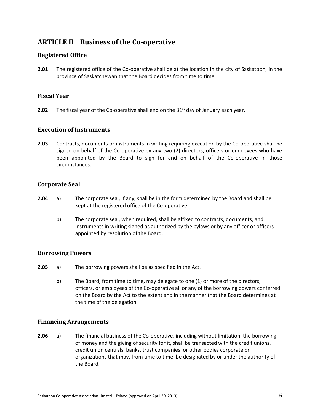### <span id="page-5-0"></span>**ARTICLE II Business of the Co-operative**

### <span id="page-5-1"></span>**Registered Office**

**2.01** The registered office of the Co-operative shall be at the location in the city of Saskatoon, in the province of Saskatchewan that the Board decides from time to time.

### <span id="page-5-2"></span>**Fiscal Year**

**2.02** The fiscal year of the Co-operative shall end on the 31<sup>st</sup> day of January each year.

### <span id="page-5-3"></span>**Execution of Instruments**

**2.03** Contracts, documents or instruments in writing requiring execution by the Co-operative shall be signed on behalf of the Co-operative by any two (2) directors, officers or employees who have been appointed by the Board to sign for and on behalf of the Co-operative in those circumstances.

### <span id="page-5-4"></span>**Corporate Seal**

- **2.04** a) The corporate seal, if any, shall be in the form determined by the Board and shall be kept at the registered office of the Co-operative.
	- b) The corporate seal, when required, shall be affixed to contracts, documents, and instruments in writing signed as authorized by the bylaws or by any officer or officers appointed by resolution of the Board.

### <span id="page-5-5"></span>**Borrowing Powers**

- **2.05** a) The borrowing powers shall be as specified in the Act.
	- b) The Board, from time to time, may delegate to one (1) or more of the directors, officers, or employees of the Co-operative all or any of the borrowing powers conferred on the Board by the Act to the extent and in the manner that the Board determines at the time of the delegation.

### <span id="page-5-6"></span>**Financing Arrangements**

**2.06** a) The financial business of the Co-operative, including without limitation, the borrowing of money and the giving of security for it, shall be transacted with the credit unions, credit union centrals, banks, trust companies, or other bodies corporate or organizations that may, from time to time, be designated by or under the authority of the Board.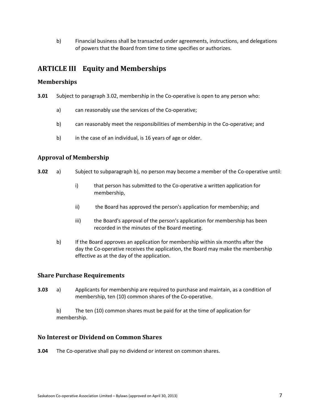b) Financial business shall be transacted under agreements, instructions, and delegations of powers that the Board from time to time specifies or authorizes.

### <span id="page-6-0"></span>**ARTICLE III Equity and Memberships**

### <span id="page-6-1"></span>**Memberships**

- **3.01** Subject to paragraph 3.02, membership in the Co-operative is open to any person who:
	- a) can reasonably use the services of the Co-operative;
	- b) can reasonably meet the responsibilities of membership in the Co-operative; and
	- b) in the case of an individual, is 16 years of age or older.

### <span id="page-6-2"></span>**Approval of Membership**

- **3.02** a) Subject to subparagraph b), no person may become a member of the Co-operative until:
	- i) that person has submitted to the Co-operative a written application for membership,
	- ii) the Board has approved the person's application for membership; and
	- iii) the Board's approval of the person's application for membership has been recorded in the minutes of the Board meeting.
	- b) If the Board approves an application for membership within six months after the day the Co-operative receives the application, the Board may make the membership effective as at the day of the application.

### <span id="page-6-3"></span>**Share Purchase Requirements**

**3.03** a) Applicants for membership are required to purchase and maintain, as a condition of membership, ten (10) common shares of the Co-operative.

b) The ten (10) common shares must be paid for at the time of application for membership.

### <span id="page-6-4"></span>**No Interest or Dividend on Common Shares**

**3.04** The Co-operative shall pay no dividend or interest on common shares.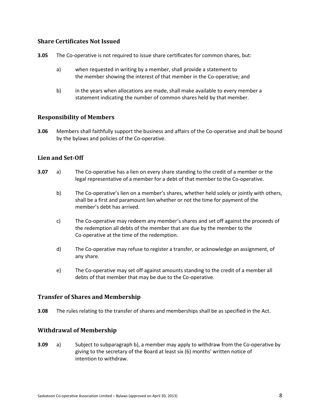### <span id="page-7-0"></span>**Share Certificates Not Issued**

- **3.05** The Co-operative is not required to issue share certificates for common shares, but:
	- a) when requested in writing by a member, shall provide a statement to the member showing the interest of that member in the Co-operative; and
	- b) in the years when allocations are made, shall make available to every member a statement indicating the number of common shares held by that member.

### <span id="page-7-1"></span>**Responsibility of Members**

**3.06** Members shall faithfully support the business and affairs of the Co-operative and shall be bound by the bylaws and policies of the Co-operative.

### <span id="page-7-2"></span>**Lien and Set-Off**

- **3.07** a) The Co-operative has a lien on every share standing to the credit of a member or the legal representative of a member for a debt of that member to the Co-operative.
	- b) The Co-operative's lien on a member's shares, whether held solely or jointly with others, shall be a first and paramount lien whether or not the time for payment of the member's debt has arrived.
	- c) The Co-operative may redeem any member's shares and set off against the proceeds of the redemption all debts of the member that are due by the member to the Co-operative at the time of the redemption.
	- d) The Co-operative may refuse to register a transfer, or acknowledge an assignment, of any share.
	- e) The Co-operative may set off against amounts standing to the credit of a member all debts of that member that may be due to the Co-operative.

### <span id="page-7-3"></span>**Transfer of Shares and Membership**

**3.08** The rules relating to the transfer of shares and memberships shall be as specified in the Act.

### <span id="page-7-4"></span>**Withdrawal of Membership**

**3.09** a) Subject to subparagraph b), a member may apply to withdraw from the Co-operative by giving to the secretary of the Board at least six (6) months' written notice of intention to withdraw.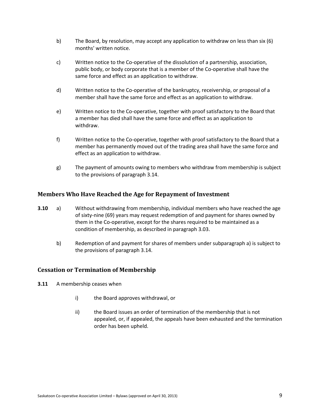- b) The Board, by resolution, may accept any application to withdraw on less than six (6) months' written notice.
- c) Written notice to the Co-operative of the dissolution of a partnership, association, public body, or body corporate that is a member of the Co-operative shall have the same force and effect as an application to withdraw.
- d) Written notice to the Co-operative of the bankruptcy, receivership, or proposal of a member shall have the same force and effect as an application to withdraw.
- e) Written notice to the Co-operative, together with proof satisfactory to the Board that a member has died shall have the same force and effect as an application to withdraw.
- f) Written notice to the Co-operative, together with proof satisfactory to the Board that a member has permanently moved out of the trading area shall have the same force and effect as an application to withdraw.
- g) The payment of amounts owing to members who withdraw from membership is subject to the provisions of paragraph 3.14.

### <span id="page-8-0"></span>**Members Who Have Reached the Age for Repayment of Investment**

- **3.10** a) Without withdrawing from membership, individual members who have reached the age of sixty-nine (69) years may request redemption of and payment for shares owned by them in the Co-operative, except for the shares required to be maintained as a condition of membership, as described in paragraph 3.03.
	- b) Redemption of and payment for shares of members under subparagraph a) is subject to the provisions of paragraph 3.14.

### <span id="page-8-1"></span>**Cessation or Termination of Membership**

- **3.11** A membership ceases when
	- i) the Board approves withdrawal, or
	- ii) the Board issues an order of termination of the membership that is not appealed, or, if appealed, the appeals have been exhausted and the termination order has been upheld.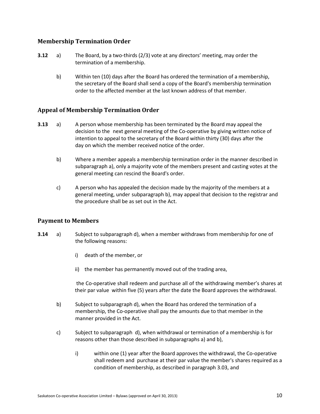### <span id="page-9-0"></span>**Membership Termination Order**

- **3.12** a) The Board, by a two-thirds (2/3) vote at any directors' meeting, may order the termination of a membership.
	- b) Within ten (10) days after the Board has ordered the termination of a membership, the secretary of the Board shall send a copy of the Board's membership termination order to the affected member at the last known address of that member.

### <span id="page-9-1"></span>**Appeal of Membership Termination Order**

- **3.13** a) A person whose membership has been terminated by the Board may appeal the decision to the next general meeting of the Co-operative by giving written notice of intention to appeal to the secretary of the Board within thirty (30) days after the day on which the member received notice of the order.
	- b) Where a member appeals a membership termination order in the manner described in subparagraph a), only a majority vote of the members present and casting votes at the general meeting can rescind the Board's order.
	- c) A person who has appealed the decision made by the majority of the members at a general meeting, under subparagraph b), may appeal that decision to the registrar and the procedure shall be as set out in the Act.

### <span id="page-9-2"></span>**Payment to Members**

- **3.14** a) Subject to subparagraph d), when a member withdraws from membership for one of the following reasons:
	- i) death of the member, or
	- ii) the member has permanently moved out of the trading area,

 the Co-operative shall redeem and purchase all of the withdrawing member's shares at their par value within five (5) years after the date the Board approves the withdrawal.

- b) Subject to subparagraph d), when the Board has ordered the termination of a membership, the Co-operative shall pay the amounts due to that member in the manner provided in the Act.
- c) Subject to subparagraph d), when withdrawal or termination of a membership is for reasons other than those described in subparagraphs a) and b),
	- i) within one (1) year after the Board approves the withdrawal, the Co-operative shall redeem and purchase at their par value the member's shares required as a condition of membership, as described in paragraph 3.03, and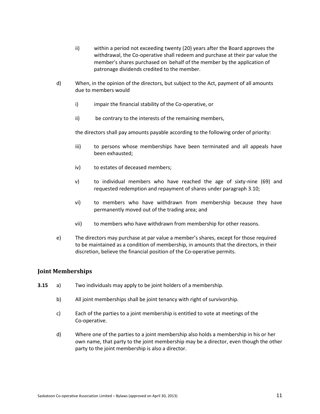- ii) within a period not exceeding twenty (20) years after the Board approves the withdrawal, the Co-operative shall redeem and purchase at their par value the member's shares purchased on behalf of the member by the application of patronage dividends credited to the member.
- d) When, in the opinion of the directors, but subject to the Act, payment of all amounts due to members would
	- i) impair the financial stability of the Co-operative, or
	- ii) be contrary to the interests of the remaining members,

the directors shall pay amounts payable according to the following order of priority:

- iii) to persons whose memberships have been terminated and all appeals have been exhausted;
- iv) to estates of deceased members;
- v) to individual members who have reached the age of sixty-nine (69) and requested redemption and repayment of shares under paragraph 3.10;
- vi) to members who have withdrawn from membership because they have permanently moved out of the trading area; and
- vii) to members who have withdrawn from membership for other reasons.
- e) The directors may purchase at par value a member's shares, except for those required to be maintained as a condition of membership, in amounts that the directors, in their discretion, believe the financial position of the Co-operative permits.

### <span id="page-10-0"></span>**Joint Memberships**

- **3.15** a) Two individuals may apply to be joint holders of a membership.
	- b) All joint memberships shall be joint tenancy with right of survivorship.
	- c) Each of the parties to a joint membership is entitled to vote at meetings of the Co-operative.
	- d) Where one of the parties to a joint membership also holds a membership in his or her own name, that party to the joint membership may be a director, even though the other party to the joint membership is also a director.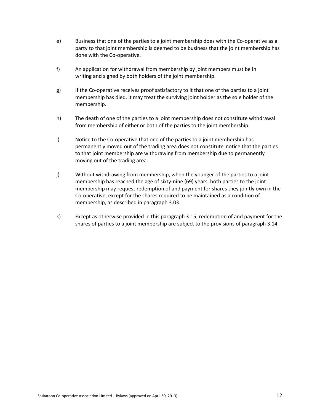- e) Business that one of the parties to a joint membership does with the Co-operative as a party to that joint membership is deemed to be business that the joint membership has done with the Co-operative.
- f) An application for withdrawal from membership by joint members must be in writing and signed by both holders of the joint membership.
- g) If the Co-operative receives proof satisfactory to it that one of the parties to a joint membership has died, it may treat the surviving joint holder as the sole holder of the membership.
- h) The death of one of the parties to a joint membership does not constitute withdrawal from membership of either or both of the parties to the joint membership.
- i) Notice to the Co-operative that one of the parties to a joint membership has permanently moved out of the trading area does not constitute notice that the parties to that joint membership are withdrawing from membership due to permanently moving out of the trading area.
- j) Without withdrawing from membership, when the younger of the parties to a joint membership has reached the age of sixty-nine (69) years, both parties to the joint membership may request redemption of and payment for shares they jointly own in the Co-operative, except for the shares required to be maintained as a condition of membership, as described in paragraph 3.03.
- k) Except as otherwise provided in this paragraph 3.15, redemption of and payment for the shares of parties to a joint membership are subject to the provisions of paragraph 3.14.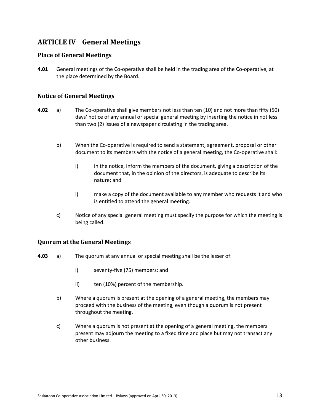### <span id="page-12-0"></span>**ARTICLE IV General Meetings**

### <span id="page-12-1"></span>**Place of General Meetings**

**4.01** General meetings of the Co-operative shall be held in the trading area of the Co-operative, at the place determined by the Board.

### <span id="page-12-2"></span>**Notice of General Meetings**

- **4.02** a) The Co-operative shall give members not less than ten (10) and not more than fifty (50) days' notice of any annual or special general meeting by inserting the notice in not less than two (2) issues of a newspaper circulating in the trading area.
	- b) When the Co-operative is required to send a statement, agreement, proposal or other document to its members with the notice of a general meeting, the Co-operative shall:
		- i) in the notice, inform the members of the document, giving a description of the document that, in the opinion of the directors, is adequate to describe its nature; and
		- i) make a copy of the document available to any member who requests it and who is entitled to attend the general meeting.
	- c) Notice of any special general meeting must specify the purpose for which the meeting is being called.

### <span id="page-12-3"></span>**Quorum at the General Meetings**

- **4.03** a) The quorum at any annual or special meeting shall be the lesser of:
	- i) seventy-five (75) members; and
	- ii) ten (10%) percent of the membership.
	- b) Where a quorum is present at the opening of a general meeting, the members may proceed with the business of the meeting, even though a quorum is not present throughout the meeting.
	- c) Where a quorum is not present at the opening of a general meeting, the members present may adjourn the meeting to a fixed time and place but may not transact any other business.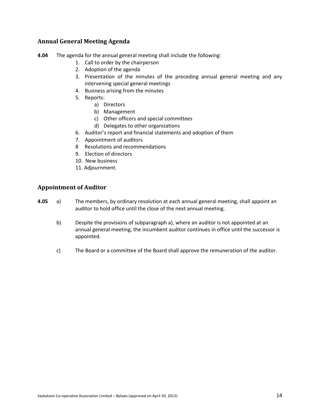### <span id="page-13-0"></span>**Annual General Meeting Agenda**

- **4.04** The agenda for the annual general meeting shall include the following:
	- 1. Call to order by the chairperson
	- 2. Adoption of the agenda
	- 3. Presentation of the minutes of the preceding annual general meeting and any intervening special general meetings
	- 4. Business arising from the minutes
	- 5. Reports:
		- a) Directors
		- b) Management
		- c) Other officers and special committees
		- d) Delegates to other organizations
	- 6. Auditor's report and financial statements and adoption of them
	- 7. Appointment of auditors
	- 8 Resolutions and recommendations
	- 9. Election of directors
	- 10. New business
	- 11. Adjournment.

### <span id="page-13-1"></span>**Appointment of Auditor**

- **4.05** a) The members, by ordinary resolution at each annual general meeting, shall appoint an auditor to hold office until the close of the next annual meeting.
	- b) Despite the provisions of subparagraph a), where an auditor is not appointed at an annual general meeting, the incumbent auditor continues in office until the successor is appointed.
	- c) The Board or a committee of the Board shall approve the remuneration of the auditor.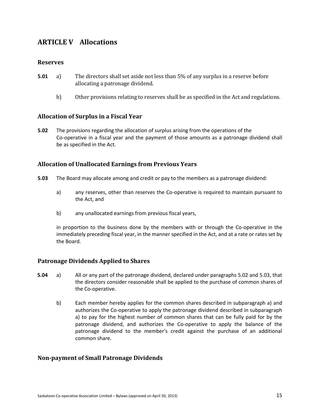### <span id="page-14-0"></span>**ARTICLE V Allocations**

### <span id="page-14-1"></span>**Reserves**

- **5.01** a) The directors shall set aside not less than 5% of any surplus in a reserve before allocating a patronage dividend.
	- b) Other provisions relating to reserves shall be as specified in the Act and regulations.

### <span id="page-14-2"></span>**Allocation of Surplus in a Fiscal Year**

**5.02** The provisions regarding the allocation of surplus arising from the operations of the Co-operative in a fiscal year and the payment of those amounts as a patronage dividend shall be as specified in the Act.

### <span id="page-14-3"></span>**Allocation of Unallocated Earnings from Previous Years**

- **5.03** The Board may allocate among and credit or pay to the members as a patronage dividend:
	- a) any reserves, other than reserves the Co-operative is required to maintain pursuant to the Act, and
	- b) any unallocated earnings from previous fiscal years,

in proportion to the business done by the members with or through the Co-operative in the immediately preceding fiscal year, in the manner specified in the Act, and at a rate or rates set by the Board.

### <span id="page-14-4"></span>**Patronage Dividends Applied to Shares**

- **5.04** a) All or any part of the patronage dividend, declared under paragraphs 5.02 and 5.03, that the directors consider reasonable shall be applied to the purchase of common shares of the Co-operative.
	- b) Each member hereby applies for the common shares described in subparagraph a) and authorizes the Co-operative to apply the patronage dividend described in subparagraph a) to pay for the highest number of common shares that can be fully paid for by the patronage dividend, and authorizes the Co-operative to apply the balance of the patronage dividend to the member's credit against the purchase of an additional common share.

### <span id="page-14-5"></span>**Non-payment of Small Patronage Dividends**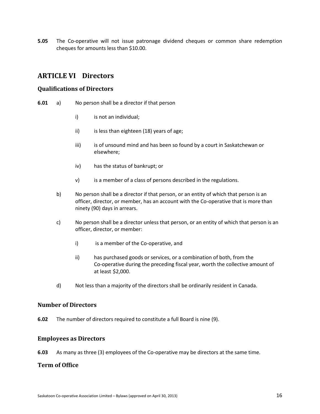**5.05** The Co-operative will not issue patronage dividend cheques or common share redemption cheques for amounts less than \$10.00.

### <span id="page-15-0"></span>**ARTICLE VI Directors**

### <span id="page-15-1"></span>**Qualifications of Directors**

- **6.01** a) No person shall be a director if that person
	- i) is not an individual;
	- ii) is less than eighteen (18) years of age;
	- iii) is of unsound mind and has been so found by a court in Saskatchewan or elsewhere;
	- iv) has the status of bankrupt; or
	- v) is a member of a class of persons described in the regulations.
	- b) No person shall be a director if that person, or an entity of which that person is an officer, director, or member, has an account with the Co-operative that is more than ninety (90) days in arrears.
	- c) No person shall be a director unless that person, or an entity of which that person is an officer, director, or member:
		- i) is a member of the Co-operative, and
		- ii) has purchased goods or services, or a combination of both, from the Co-operative during the preceding fiscal year, worth the collective amount of at least \$2,000.
	- d) Not less than a majority of the directors shall be ordinarily resident in Canada.

### <span id="page-15-2"></span>**Number of Directors**

**6.02** The number of directors required to constitute a full Board is nine (9).

### <span id="page-15-3"></span>**Employees as Directors**

<span id="page-15-4"></span>**6.03** As many as three (3) employees of the Co-operative may be directors at the same time.

### **Term of Office**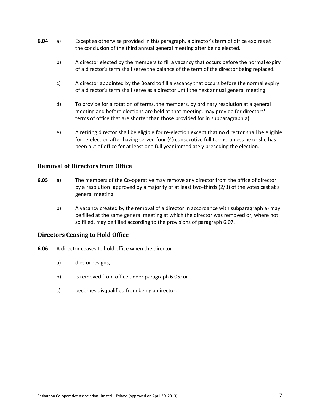- **6.04** a) Except as otherwise provided in this paragraph, a director's term of office expires at the conclusion of the third annual general meeting after being elected.
	- b) A director elected by the members to fill a vacancy that occurs before the normal expiry of a director's term shall serve the balance of the term of the director being replaced.
	- c) A director appointed by the Board to fill a vacancy that occurs before the normal expiry of a director's term shall serve as a director until the next annual general meeting.
	- d) To provide for a rotation of terms, the members, by ordinary resolution at a general meeting and before elections are held at that meeting, may provide for directors' terms of office that are shorter than those provided for in subparagraph a).
	- e) A retiring director shall be eligible for re-election except that no director shall be eligible for re-election after having served four (4) consecutive full terms, unless he or she has been out of office for at least one full year immediately preceding the election.

### <span id="page-16-0"></span>**Removal of Directors from Office**

- **6.05 a)** The members of the Co-operative may remove any director from the office of director by a resolution approved by a majority of at least two-thirds (2/3) of the votes cast at a general meeting.
	- b) A vacancy created by the removal of a director in accordance with subparagraph a) may be filled at the same general meeting at which the director was removed or, where not so filled, may be filled according to the provisions of paragraph 6.07.

### <span id="page-16-1"></span>**Directors Ceasing to Hold Office**

- **6.06** A director ceases to hold office when the director:
	- a) dies or resigns;
	- b) is removed from office under paragraph 6.05; or
	- c) becomes disqualified from being a director.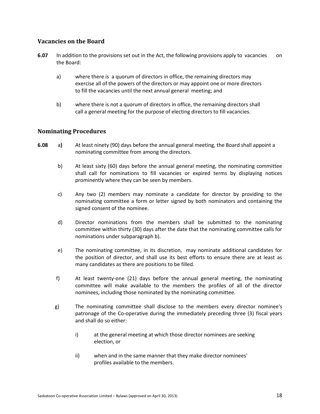### <span id="page-17-0"></span>**Vacancies on the Board**

- **6.07** In addition to the provisions set out in the Act, the following provisions apply to vacancies on the Board:
	- a) where there is a quorum of directors in office, the remaining directors may exercise all of the powers of the directors or may appoint one or more directors to fill the vacancies until the next annual general meeting; and
	- b) where there is not a quorum of directors in office, the remaining directors shall call a general meeting for the purpose of electing directors to fill vacancies.

### <span id="page-17-1"></span>**Nominating Procedures**

- **6.08** a**)** At least ninety (90) days before the annual general meeting, the Board shall appoint a nominating committee from among the directors.
	- b) At least sixty (60) days before the annual general meeting, the nominating committee shall call for nominations to fill vacancies or expired terms by displaying notices prominently where they can be seen by members.
	- c) Any two (2) members may nominate a candidate for director by providing to the nominating committee a form or letter signed by both nominators and containing the signed consent of the nominee.
	- d) Director nominations from the members shall be submitted to the nominating committee within thirty (30) days after the date that the nominating committee calls for nominations under subparagraph b).
	- e) The nominating committee, in its discretion, may nominate additional candidates for the position of director, and shall use its best efforts to ensure there are at least as many candidates as there are positions to be filled.
	- f) At least twenty-one (21) days before the annual general meeting, the nominating committee will make available to the members the profiles of all of the director nominees, including those nominated by the nominating committee.
	- g) The nominating committee shall disclose to the members every director nominee's patronage of the Co-operative during the immediately preceding three (3) fiscal years and shall do so either:
		- i) at the general meeting at which those director nominees are seeking election, or
		- ii) when and in the same manner that they make director nominees' profiles available to the members.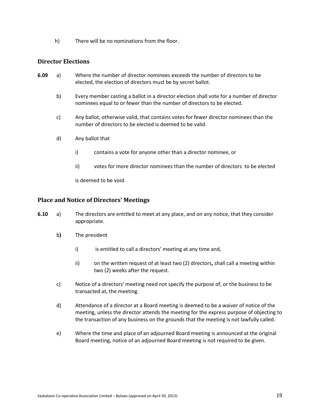h) There will be no nominations from the floor.

### <span id="page-18-0"></span>**Director Elections**

- **6.09** a) Where the number of director nominees exceeds the number of directors to be elected, the election of directors must be by secret ballot.
	- b) Every member casting a ballot in a director election shall vote for a number of director nominees equal to or fewer than the number of directors to be elected.
	- c) Any ballot, otherwise valid, that contains votes for fewer director nominees than the number of directors to be elected is deemed to be valid.
	- d) Any ballot that
		- i) contains a vote for anyone other than a director nominee, or
		- ii) votes for more director nominees than the number of directors to be elected

is deemed to be void.

### <span id="page-18-1"></span>**Place and Notice of Directors' Meetings**

- **6.10** a) The directors are entitled to meet at any place, and on any notice, that they consider appropriate.
	- b) The president
		- i) is entitled to call a directors' meeting at any time and,
		- ii) on the written request of at least two (2) directors**,** shall call a meeting withintwo (2) weeks after the request.
	- c) Notice of a directors' meeting need not specify the purpose of, or the business to be transacted at, the meeting.
	- d) Attendance of a director at a Board meeting is deemed to be a waiver of notice of the meeting, unless the director attends the meeting for the express purpose of objecting to the transaction of any business on the grounds that the meeting is not lawfully called.
	- e) Where the time and place of an adjourned Board meeting is announced at the original Board meeting, notice of an adjourned Board meeting is not required to be given.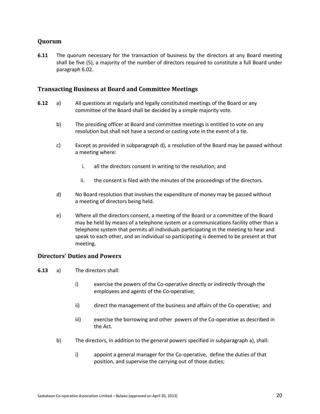### <span id="page-19-0"></span>**Quorum**

**6.11** The quorum necessary for the transaction of business by the directors at any Board meeting shall be five (5), a majority of the number of directors required to constitute a full Board under paragraph 6.02.

### <span id="page-19-1"></span>**Transacting Business at Board and Committee Meetings**

- **6.12** a) All questions at regularly and legally constituted meetings of the Board or any committee of the Board shall be decided by a simple majority vote.
	- b) The presiding officer at Board and committee meetings is entitled to vote on any resolution but shall not have a second or casting vote in the event of a tie.
	- c) Except as provided in subparagraph d), a resolution of the Board may be passed without a meeting where:
		- i. all the directors consent in writing to the resolution; and
		- ii. the consent is filed with the minutes of the proceedings of the directors.
	- d) No Board resolution that involves the expenditure of money may be passed without a meeting of directors being held.
	- e) Where all the directors consent, a meeting of the Board or a committee of the Board may be held by means of a telephone system or a communications facility other than a telephone system that permits all individuals participating in the meeting to hear and speak to each other, and an individual so participating is deemed to be present at that meeting.

### <span id="page-19-2"></span>**Directors' Duties and Powers**

- **6.13** a) The directors shall:
	- i) exercise the powers of the Co-operative directly or indirectly through the employees and agents of the Co-operative;
	- ii) direct the management of the business and affairs of the Co-operative; and
	- iii) exercise the borrowing and other powers of the Co-operative as described in the Act.
	- b) The directors, in addition to the general powers specified in subparagraph a), shall:
		- i) appoint a general manager for the Co-operative, define the duties of that position, and supervise the carrying out of those duties;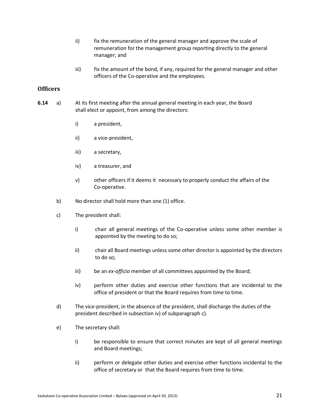- ii) fix the remuneration of the general manager and approve the scale of remuneration for the management group reporting directly to the general manager; and
- iii) fix the amount of the bond, if any, required for the general manager and other officers of the Co-operative and the employees.

### <span id="page-20-0"></span>**Officers**

- **6.14** a) At its first meeting after the annual general meeting in each year, the Board shall elect or appoint, from among the directors:
	- i) a president,
	- ii) a vice-president,
	- iii) a secretary,
	- iv) a treasurer, and
	- v) other officers if it deems it necessary to properly conduct the affairs of the Co-operative.
	- b) No director shall hold more than one (1) office.
	- c) The president shall:
		- i) chair all general meetings of the Co-operative unless some other member is appointed by the meeting to do so;
		- ii) chair all Board meetings unless some other director is appointed by the directors to do so;
		- iii) be an *ex-officio* member of all committees appointed by the Board;
		- iv) perform other duties and exercise other functions that are incidental to the office of president or that the Board requires from time to time.
	- d) The vice-president, in the absence of the president, shall discharge the duties of the president described in subsection iv) of subparagraph c).
	- e) The secretary shall:
		- i) be responsible to ensure that correct minutes are kept of all general meetings and Board meetings;
		- ii) perform or delegate other duties and exercise other functions incidental to the office of secretary or that the Board requires from time to time.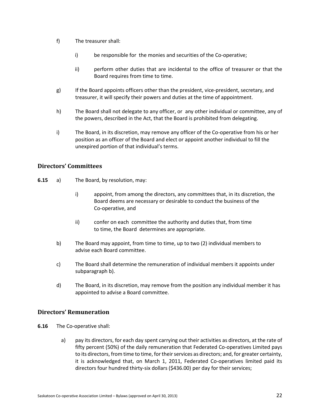- f) The treasurer shall:
	- i) be responsible for the monies and securities of the Co-operative;
	- ii) perform other duties that are incidental to the office of treasurer or that the Board requires from time to time.
- g) If the Board appoints officers other than the president, vice-president, secretary, and treasurer, it will specify their powers and duties at the time of appointment.
- h) The Board shall not delegate to any officer, or any other individual or committee, any of the powers, described in the Act, that the Board is prohibited from delegating.
- i) The Board, in its discretion, may remove any officer of the Co-operative from his or her position as an officer of the Board and elect or appoint another individual to fill the unexpired portion of that individual's terms.

### <span id="page-21-0"></span>**Directors' Committees**

- **6.15** a) The Board, by resolution, may:
	- i) appoint, from among the directors, any committees that, in its discretion, the Board deems are necessary or desirable to conduct the business of the Co-operative, and
	- ii) confer on each committee the authority and duties that, from time to time, the Board determines are appropriate.
	- b) The Board may appoint, from time to time, up to two (2) individual members to advise each Board committee.
	- c) The Board shall determine the remuneration of individual members it appoints under subparagraph b).
	- d) The Board, in its discretion, may remove from the position any individual member it has appointed to advise a Board committee.

### <span id="page-21-1"></span>**Directors' Remuneration**

- **6.16** The Co-operative shall:
	- a) pay its directors, for each day spent carrying out their activities as directors, at the rate of fifty percent (50%) of the daily remuneration that Federated Co-operatives Limited pays to its directors, from time to time, for their services as directors; and, for greater certainty, it is acknowledged that, on March 1, 2011, Federated Co-operatives limited paid its directors four hundred thirty-six dollars (\$436.00) per day for their services;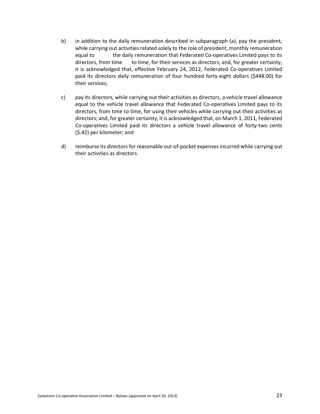- b) in addition to the daily remuneration described in subparagraph (a), pay the president, while carrying out activities related solely to the role of president, monthly remuneration equal to the daily remuneration that Federated Co-operatives Limited pays to its directors, from time to time, for their services as directors; and, for greater certainty, it is acknowledged that, effective February 24, 2012, Federated Co-operatives Limited paid its directors daily remuneration of four hundred forty-eight dollars (\$448.00) for their services;
- c) pay its directors, while carrying out their activities as directors, a vehicle travel allowance equal to the vehicle travel allowance that Federated Co-operatives Limited pays to its directors, from time to time, for using their vehicles while carrying out their activities as directors; and, for greater certainty, it is acknowledged that, on March 1, 2011, Federated Co-operatives Limited paid its directors a vehicle travel allowance of forty-two cents (\$.42) per kilometer; and
- d) reimburse its directors for reasonable out-of-pocket expenses incurred while carrying out their activities as directors.